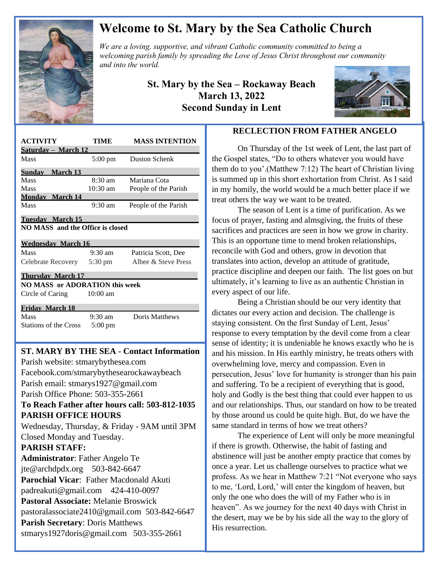

## **Welcome to St. Mary by the Sea Catholic Church**

*We are a loving, supportive, and vibrant Catholic community committed to being a We are a loving, supportive, and vibrant Catholic community committed to being a a spreading the Christ throughout our mitted to being a a mitted to being a a mitted to being a a mitted to being a mitted to being a mitte welcoming parish family by spreading the Love of Jesus Christ throughout our community and into the world.*

> **St. Mary by the Sea – Rockaway Beach March 13, 2022 Second Sunday in Lent**



| <b>ACTIVITY</b>                                  | <b>TIME</b> | <b>MASS INTENTION</b> |
|--------------------------------------------------|-------------|-----------------------|
| Saturday - March 12                              |             |                       |
| Mass                                             | 5:00 pm     | <b>Duston Schenk</b>  |
| <b>Sunday</b> March 13                           |             |                       |
| <b>Mass</b>                                      | $8:30$ am   | Mariana Cota          |
| Mass                                             | $10:30$ am  | People of the Parish  |
| <b>Monday</b> March 14                           |             |                       |
| <b>Mass</b>                                      | 9:30 am     | People of the Parish  |
| <b>Tuesday</b> March 15                          |             |                       |
| <b>NO MASS</b> and the Office is closed          |             |                       |
|                                                  |             |                       |
| <b>Wednesday March 16</b><br><b>Mass</b>         | $9:30$ am   | Patricia Scott, Dee   |
| Celebrate Recovery                               | 5:30 pm     | Albee & Steve Press   |
|                                                  |             |                       |
| <b>Thursday March 17</b>                         |             |                       |
| <b>NO MASS or ADORATION this week</b>            |             |                       |
| Circle of Caring                                 | $10:00$ am  |                       |
| <b>Friday March 18</b>                           |             |                       |
| Mass                                             | $9:30$ am   | <b>Doris Matthews</b> |
| <b>Stations of the Cross</b>                     | $5:00$ pm   |                       |
|                                                  |             |                       |
|                                                  |             |                       |
| <b>ST. MARY BY THE SEA - Contact Information</b> |             |                       |
| Parish website: stmarybythesea.com               |             |                       |
| Facebook.com/stmarybythesearockawaybeach         |             |                       |
| Parish email: stmarys1927@gmail.com              |             |                       |
| Parish Office Phone: 503-355-2661                |             |                       |
| To Reach Father after hours call: 503-812-1035   |             |                       |
| <b>PARISH OFFICE HOURS</b>                       |             |                       |
| Wednesday, Thursday, & Friday - 9AM until 3PM    |             |                       |

Closed Monday and Tuesday. **PARISH STAFF: Administrator**: Father Angelo Te jte@archdpdx.org 503-842-6647

**Parochial Vicar**: Father Macdonald Akuti padreakuti@gmail.com 424-410-0097 **Pastoral Associate:** Melanie Broswick pastoralassociate2410@gmail.com 503-842-6647 **Parish Secretary**: Doris Matthews stmarys1927doris@gmail.com 503-355-2661

## **RECLECTION FROM FATHER ANGELO**

On Thursday of the 1st week of Lent, the last part of the Gospel states, "Do to others whatever you would have them do to you'.(Matthew 7:12) The heart of Christian living is summed up in this short exhortation from Christ. As I said in my homily, the world would be a much better place if we treat others the way we want to be treated.

The season of Lent is a time of purification. As we focus of prayer, fasting and almsgiving, the fruits of these sacrifices and practices are seen in how we grow in charity. This is an opportune time to mend broken relationships, reconcile with God and others, grow in devotion that translates into action, develop an attitude of gratitude, practice discipline and deepen our faith. The list goes on but ultimately, it's learning to live as an authentic Christian in every aspect of our life.

Being a Christian should be our very identity that dictates our every action and decision. The challenge is staying consistent. On the first Sunday of Lent, Jesus' response to every temptation by the devil come from a clear sense of identity; it is undeniable he knows exactly who he is and his mission. In His earthly ministry, he treats others with overwhelming love, mercy and compassion. Even in persecution, Jesus' love for humanity is stronger than his pain and suffering. To be a recipient of everything that is good, holy and Godly is the best thing that could ever happen to us and our relationships. Thus, our standard on how to be treated by those around us could be quite high. But, do we have the same standard in terms of how we treat others?

The experience of Lent will only be more meaningful if there is growth. Otherwise, the habit of fasting and abstinence will just be another empty practice that comes by once a year. Let us challenge ourselves to practice what we profess. As we hear in Matthew 7:21 "Not everyone who says to me, 'Lord, Lord,' will enter the kingdom of heaven, but only the one who does the will of my Father who is in heaven". As we journey for the next 40 days with Christ in the desert, may we be by his side all the way to the glory of His resurrection.